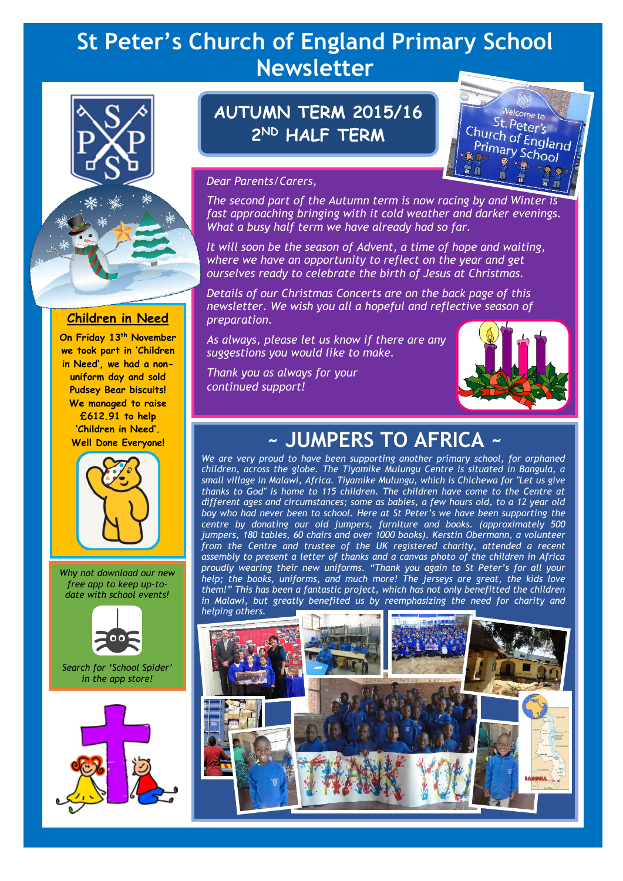# **St Peter's Church of England Primary School Newsletter**



#### **Children in Need**

**On Friday 13th November we took part in 'Children in Need', we had a nonuniform day and sold Pudsey Bear biscuits! We managed to raise £612.91 to help 'Children in Need'. Well Done Everyone!**



*Why not download our new free app to keep up-todate with school events!*



*Search for 'School Spider' in the app store!*



# **AUTUMN TERM 2015/16 2 ND HALF TERM**



#### *Dear Parents/Carers,*

*The second part of the Autumn term is now racing by and Winter is fast approaching bringing with it cold weather and darker evenings. What a busy half term we have already had so far.* 

*It will soon be the season of Advent, a time of hope and waiting, where we have an opportunity to reflect on the year and get ourselves ready to celebrate the birth of Jesus at Christmas.*

*Details of our Christmas Concerts are on the back page of this newsletter. We wish you all a hopeful and reflective season of preparation.* 

*As always, please let us know if there are any suggestions you would like to make.*

*Thank you as always for your continued support!*



# **~ JUMPERS TO AFRICA ~**

*We are very proud to have been supporting another primary school, for orphaned children, across the globe. The Tiyamike Mulungu Centre is situated in Bangula, a small village in Malawi, Africa. Tiyamike Mulungu, which is Chichewa for "Let us give thanks to God" is home to 115 children. The children have come to the Centre at different ages and circumstances; some as babies, a few hours old, to a 12 year old boy who had never been to school. Here at St Peter's we have been supporting the centre by donating our old jumpers, furniture and books. (approximately 500 jumpers, 180 tables, 60 chairs and over 1000 books). Kerstin Obermann, a volunteer*  from the Centre and trustee of the UK registered charity, attended a recent *assembly to present a letter of thanks and a canvas photo of the children in Africa proudly wearing their new uniforms. "Thank you again to St Peter's for all your help; the books, uniforms, and much more! The jerseys are great, the kids love them!" This has been a fantastic project, which has not only benefitted the children*  in Malawi, but greatly benefited us by reemphasizing the need for charity and *helping others.*

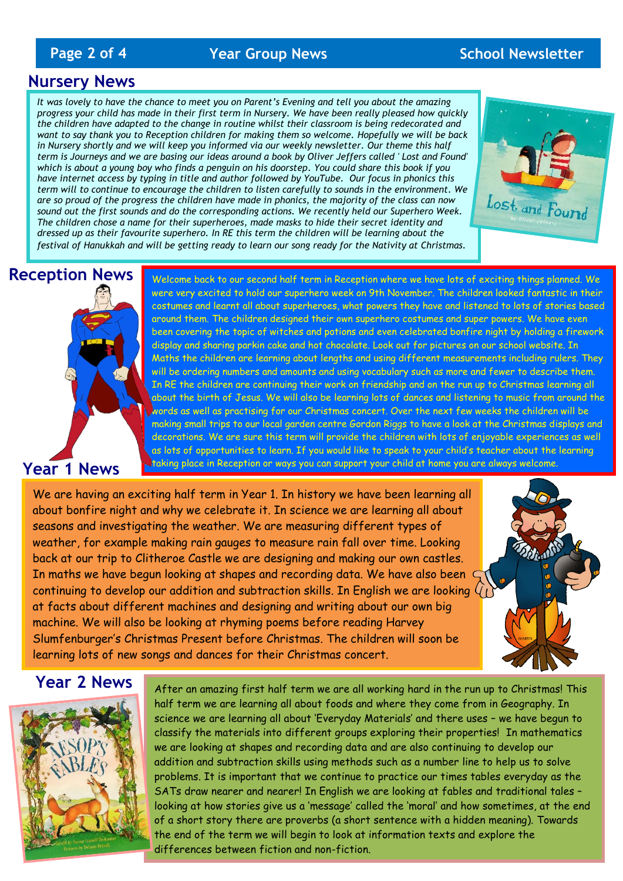### **Page 2 of 4** *Year Group News* **<b>School Newsletter**

#### **Nursery News**

*It was lovely to have the chance to meet you on Parent's Evening and tell you about the amazing progress your child has made in their first term in Nursery. We have been really pleased how quickly the children have adapted to the change in routine whilst their classroom is being redecorated and want to say thank you to Reception children for making them so welcome. Hopefully we will be back in Nursery shortly and we will keep you informed via our weekly newsletter. Our theme this half term is Journeys and we are basing our ideas around a book by Oliver Jeffers called ' Lost and Found' which is about a young boy who finds a penguin on his doorstep. You could share this book if you have internet access by typing in title and author followed by YouTube. Our focus in phonics this term will to continue to encourage the children to listen carefully to sounds in the environment. We are so proud of the progress the children have made in phonics, the majority of the class can now sound out the first sounds and do the corresponding actions. We recently held our Superhero Week. The children chose a name for their superheroes, made masks to hide their secret identity and dressed up as their favourite superhero. In RE this term the children will be learning about the festival of Hanukkah and will be getting ready to learn our song ready for the Nativity at Christmas.*



# **Reception News**



Welcome back to our second half term in Reception where we have lots of exciting things planned. We were very excited to hold our superhero week on 9th November. The children looked fantastic in their costumes and learnt all about superheroes, what powers they have and listened to lots of stories based around them. The children designed their own superhero costumes and super powers. We have even been covering the topic of witches and potions and even celebrated bonfire night by holding a firework display and sharing parkin cake and hot chocolate. Look out for pictures on our school website. In Maths the children are learning about lengths and using different measurements including rulers. They will be ordering numbers and amounts and using vocabulary such as more and fewer to describe them. In RE the children are continuing their work on friendship and on the run up to Christmas learning all about the birth of Jesus. We will also be learning lots of dances and listening to music from around the words as well as practising for our Christmas concert. Over the next few weeks the children will be making small trips to our local garden centre Gordon Riggs to have a look at the Christmas displays and decorations. We are sure this term will provide the children with lots of enjoyable experiences as well as lots of opportunities to learn. If you would like to speak to your child's teacher about the learning taking place in Reception or ways you can support your child at home you are always welcome.

We are having an exciting half term in Year 1. In history we have been learning all about bonfire night and why we celebrate it. In science we are learning all about seasons and investigating the weather. We are measuring different types of weather, for example making rain gauges to measure rain fall over time. Looking back at our trip to Clitheroe Castle we are designing and making our own castles. In maths we have begun looking at shapes and recording data. We have also been continuing to develop our addition and subtraction skills. In English we are looking at facts about different machines and designing and writing about our own big machine. We will also be looking at rhyming poems before reading Harvey Slumfenburger's Christmas Present before Christmas. The children will soon be learning lots of new songs and dances for their Christmas concert.



#### **Year 2 News**



After an amazing first half term we are all working hard in the run up to Christmas! This half term we are learning all about foods and where they come from in Geography. In science we are learning all about 'Everyday Materials' and there uses – we have begun to classify the materials into different groups exploring their properties! In mathematics we are looking at shapes and recording data and are also continuing to develop our addition and subtraction skills using methods such as a number line to help us to solve problems. It is important that we continue to practice our times tables everyday as the SATs draw nearer and nearer! In English we are looking at fables and traditional tales – looking at how stories give us a 'message' called the 'moral' and how sometimes, at the end of a short story there are proverbs (a short sentence with a hidden meaning). Towards the end of the term we will begin to look at information texts and explore the differences between fiction and non-fiction.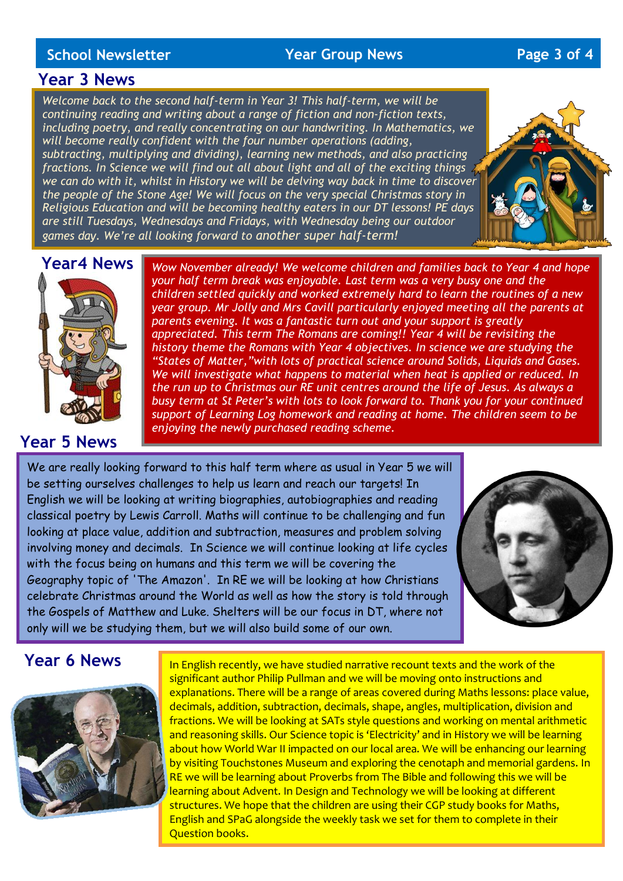#### **School Newsletter Year Group News Page 3 of 4**

#### **Year 3 News**

*Welcome back to the second half-term in Year 3! This half-term, we will be continuing reading and writing about a range of fiction and non-fiction texts, including poetry, and really concentrating on our handwriting. In Mathematics, we will become really confident with the four number operations (adding, subtracting, multiplying and dividing), learning new methods, and also practicing fractions. In Science we will find out all about light and all of the exciting things we can do with it, whilst in History we will be delving way back in time to discover the people of the Stone Age! We will focus on the very special Christmas story in Religious Education and will be becoming healthy eaters in our DT lessons! PE days are still Tuesdays, Wednesdays and Fridays, with Wednesday being our outdoor games day. We're all looking forward to another super half-term!*



# **Year4 News**

### **Year 5 News**

*Wow November already! We welcome children and families back to Year 4 and hope your half term break was enjoyable. Last term was a very busy one and the children settled quickly and worked extremely hard to learn the routines of a new year group. Mr Jolly and Mrs Cavill particularly enjoyed meeting all the parents at parents evening. It was a fantastic turn out and your support is greatly appreciated. This term The Romans are coming!! Year 4 will be revisiting the history theme the Romans with Year 4 objectives. In science we are studying the "States of Matter,"with lots of practical science around Solids, Liquids and Gases.*  We will investigate what happens to material when heat is applied or reduced. In *the run up to Christmas our RE unit centres around the life of Jesus. As always a busy term at St Peter's with lots to look forward to. Thank you for your continued support of Learning Log homework and reading at home. The children seem to be enjoying the newly purchased reading scheme.*

We are really looking forward to this half term where as usual in Year 5 we will be setting ourselves challenges to help us learn and reach our targets! In English we will be looking at writing biographies, autobiographies and reading classical poetry by Lewis Carroll. Maths will continue to be challenging and fun looking at place value, addition and subtraction, measures and problem solving involving money and decimals. In Science we will continue looking at life cycles with the focus being on humans and this term we will be covering the Geography topic of 'The Amazon'. In RE we will be looking at how Christians celebrate Christmas around the World as well as how the story is told through the Gospels of Matthew and Luke. Shelters will be our focus in DT, where not only will we be studying them, but we will also build some of our own.

website page of come in and ask your child's come in and ask your child's class teacher. The come in and ask y<br>The come in and ask your child's class teacher.



## **Year 6 News**



In English recently, we have studied narrative recount texts and the work of the significant author Philip Pullman and we will be moving onto instructions and explanations. There will be a range of areas covered during Maths lessons: place value, decimals, addition, subtraction, decimals, shape, angles, multiplication, division and fractions. We will be looking at SATs style questions and working on mental arithmetic and reasoning skills. Our Science topic is 'Electricity' and in History we will be learning about how World War II impacted on our local area. We will be enhancing our learning by visiting Touchstones Museum and exploring the cenotaph and memorial gardens. In RE we will be learning about Proverbs from The Bible and following this we will be learning about Advent. In Design and Technology we will be looking at different structures. We hope that the children are using their CGP study books for Maths, English and SPaG alongside the weekly task we set for them to complete in their Question books.